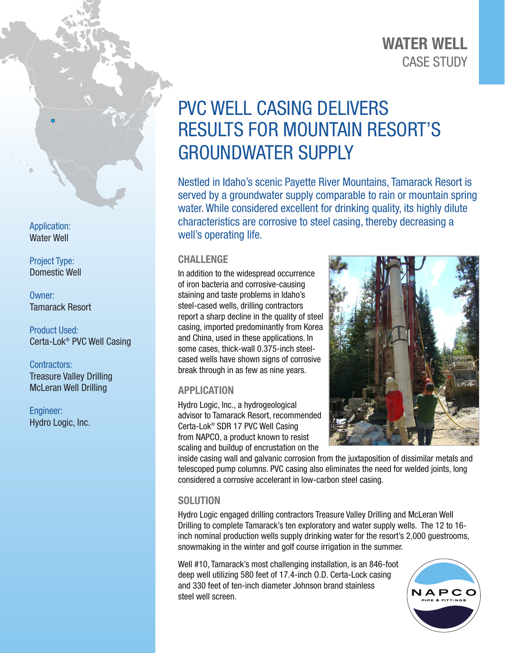## CASE STUDY WATER WELL

# PVC WELL CASING DELIVERS RESULTS FOR MOUNTAIN RESORT'S GROUNDWATER SUPPLY

Nestled in Idaho's scenic Payette River Mountains, Tamarack Resort is served by a groundwater supply comparable to rain or mountain spring water. While considered excellent for drinking quality, its highly dilute characteristics are corrosive to steel casing, thereby decreasing a well's operating life.

#### **CHALLENGE**

In addition to the widespread occurrence of iron bacteria and corrosive-causing staining and taste problems in Idaho's steel-cased wells, drilling contractors report a sharp decline in the quality of steel casing, imported predominantly from Korea and China, used in these applications. In some cases, thick-wall 0.375-inch steelcased wells have shown signs of corrosive break through in as few as nine years.

### APPLICATION

Hydro Logic, Inc., a hydrogeological advisor to Tamarack Resort, recommended Certa-Lok® SDR 17 PVC Well Casing from NAPCO, a product known to resist scaling and buildup of encrustation on the



inside casing wall and galvanic corrosion from the juxtaposition of dissimilar metals and telescoped pump columns. PVC casing also eliminates the need for welded joints, long considered a corrosive accelerant in low-carbon steel casing.

#### **SOLUTION**

Hydro Logic engaged drilling contractors Treasure Valley Drilling and McLeran Well Drilling to complete Tamarack's ten exploratory and water supply wells. The 12 to 16 inch nominal production wells supply drinking water for the resort's 2,000 guestrooms, snowmaking in the winter and golf course irrigation in the summer.

Well #10, Tamarack's most challenging installation, is an 846-foot deep well utilizing 580 feet of 17.4-inch O.D. Certa-Lock casing and 330 feet of ten-inch diameter Johnson brand stainless steel well screen.



Application: Water Well

Project Type: Domestic Well

Owner: Tamarack Resort

Product Used: Certa-Lok® PVC Well Casing

Contractors: Treasure Valley Drilling McLeran Well Drilling

Engineer: Hydro Logic, Inc.